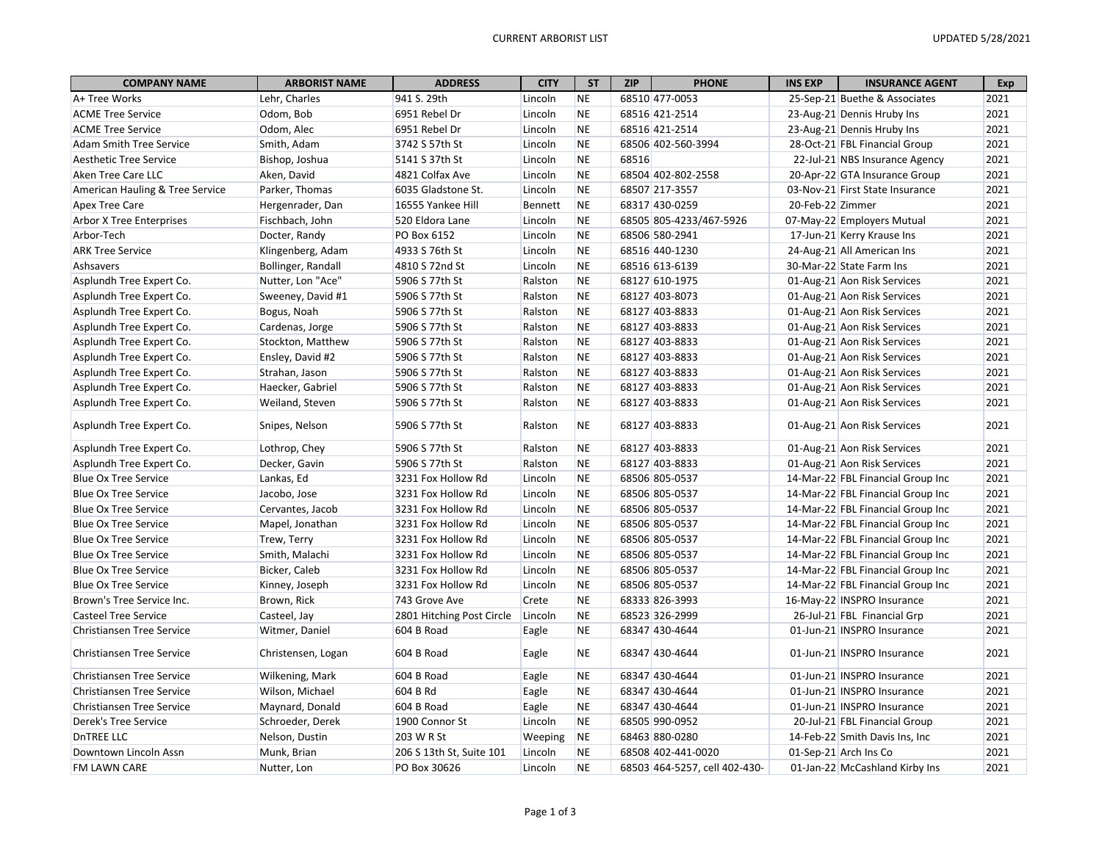| <b>COMPANY NAME</b>              | <b>ARBORIST NAME</b> | <b>ADDRESS</b>            | <b>CITY</b> | <b>ST</b> | <b>ZIP</b> | <b>PHONE</b>                  | <b>INS EXP</b>   | <b>INSURANCE AGENT</b>            | Exp  |
|----------------------------------|----------------------|---------------------------|-------------|-----------|------------|-------------------------------|------------------|-----------------------------------|------|
| A+ Tree Works                    | Lehr, Charles        | 941 S. 29th               | Lincoln     | <b>NE</b> |            | 68510 477-0053                |                  | 25-Sep-21 Buethe & Associates     | 2021 |
| <b>ACME Tree Service</b>         | Odom, Bob            | 6951 Rebel Dr             | Lincoln     | <b>NE</b> |            | 68516 421-2514                |                  | 23-Aug-21 Dennis Hruby Ins        | 2021 |
| <b>ACME Tree Service</b>         | Odom, Alec           | 6951 Rebel Dr             | Lincoln     | <b>NE</b> |            | 68516 421-2514                |                  | 23-Aug-21 Dennis Hruby Ins        | 2021 |
| <b>Adam Smith Tree Service</b>   | Smith, Adam          | 3742 S 57th St            | Lincoln     | <b>NE</b> |            | 68506 402-560-3994            |                  | 28-Oct-21 FBL Financial Group     | 2021 |
| Aesthetic Tree Service           | Bishop, Joshua       | 5141 S 37th St            | Lincoln     | <b>NE</b> | 68516      |                               |                  | 22-Jul-21 NBS Insurance Agency    | 2021 |
| Aken Tree Care LLC               | Aken, David          | 4821 Colfax Ave           | Lincoln     | <b>NE</b> |            | 68504 402-802-2558            |                  | 20-Apr-22 GTA Insurance Group     | 2021 |
| American Hauling & Tree Service  | Parker, Thomas       | 6035 Gladstone St.        | Lincoln     | <b>NE</b> |            | 68507 217-3557                |                  | 03-Nov-21 First State Insurance   | 2021 |
| Apex Tree Care                   | Hergenrader, Dan     | 16555 Yankee Hill         | Bennett     | <b>NE</b> |            | 68317 430-0259                | 20-Feb-22 Zimmer |                                   | 2021 |
| <b>Arbor X Tree Enterprises</b>  | Fischbach, John      | 520 Eldora Lane           | Lincoln     | <b>NE</b> |            | 68505 805-4233/467-5926       |                  | 07-May-22 Employers Mutual        | 2021 |
| Arbor-Tech                       | Docter, Randy        | PO Box 6152               | Lincoln     | <b>NE</b> |            | 68506 580-2941                |                  | 17-Jun-21 Kerry Krause Ins        | 2021 |
| <b>ARK Tree Service</b>          | Klingenberg, Adam    | 4933 S 76th St            | Lincoln     | <b>NE</b> |            | 68516 440-1230                |                  | 24-Aug-21 All American Ins        | 2021 |
| Ashsavers                        | Bollinger, Randall   | 4810 S 72nd St            | Lincoln     | <b>NE</b> |            | 68516 613-6139                |                  | 30-Mar-22 State Farm Ins          | 2021 |
| Asplundh Tree Expert Co.         | Nutter, Lon "Ace"    | 5906 S 77th St            | Ralston     | <b>NE</b> |            | 68127 610-1975                |                  | 01-Aug-21 Aon Risk Services       | 2021 |
| Asplundh Tree Expert Co.         | Sweeney, David #1    | 5906 S 77th St            | Ralston     | <b>NE</b> |            | 68127 403-8073                |                  | 01-Aug-21 Aon Risk Services       | 2021 |
| Asplundh Tree Expert Co.         | Bogus, Noah          | 5906 S 77th St            | Ralston     | <b>NE</b> |            | 68127 403-8833                |                  | 01-Aug-21 Aon Risk Services       | 2021 |
| Asplundh Tree Expert Co.         | Cardenas, Jorge      | 5906 S 77th St            | Ralston     | <b>NE</b> |            | 68127 403-8833                |                  | 01-Aug-21 Aon Risk Services       | 2021 |
| Asplundh Tree Expert Co.         | Stockton, Matthew    | 5906 S 77th St            | Ralston     | <b>NE</b> |            | 68127 403-8833                |                  | 01-Aug-21 Aon Risk Services       | 2021 |
| Asplundh Tree Expert Co.         | Ensley, David #2     | 5906 S 77th St            | Ralston     | <b>NE</b> |            | 68127 403-8833                |                  | 01-Aug-21 Aon Risk Services       | 2021 |
| Asplundh Tree Expert Co.         | Strahan, Jason       | 5906 S 77th St            | Ralston     | <b>NE</b> |            | 68127 403-8833                |                  | 01-Aug-21 Aon Risk Services       | 2021 |
| Asplundh Tree Expert Co.         | Haecker, Gabriel     | 5906 S 77th St            | Ralston     | <b>NE</b> |            | 68127 403-8833                |                  | 01-Aug-21 Aon Risk Services       | 2021 |
| Asplundh Tree Expert Co.         | Weiland, Steven      | 5906 S 77th St            | Ralston     | <b>NE</b> |            | 68127 403-8833                |                  | 01-Aug-21 Aon Risk Services       | 2021 |
|                                  |                      |                           |             |           |            |                               |                  |                                   |      |
| Asplundh Tree Expert Co.         | Snipes, Nelson       | 5906 S 77th St            | Ralston     | <b>NE</b> |            | 68127 403-8833                |                  | 01-Aug-21 Aon Risk Services       | 2021 |
| Asplundh Tree Expert Co.         | Lothrop, Chey        | 5906 S 77th St            | Ralston     | <b>NE</b> |            | 68127 403-8833                |                  | 01-Aug-21 Aon Risk Services       | 2021 |
| Asplundh Tree Expert Co.         | Decker, Gavin        | 5906 S 77th St            | Ralston     | <b>NE</b> |            | 68127 403-8833                |                  | 01-Aug-21 Aon Risk Services       | 2021 |
| <b>Blue Ox Tree Service</b>      | Lankas, Ed           | 3231 Fox Hollow Rd        | Lincoln     | <b>NE</b> |            | 68506 805-0537                |                  | 14-Mar-22 FBL Financial Group Inc | 2021 |
| <b>Blue Ox Tree Service</b>      | Jacobo, Jose         | 3231 Fox Hollow Rd        | Lincoln     | <b>NE</b> |            | 68506 805-0537                |                  | 14-Mar-22 FBL Financial Group Inc | 2021 |
| <b>Blue Ox Tree Service</b>      | Cervantes, Jacob     | 3231 Fox Hollow Rd        | Lincoln     | <b>NE</b> |            | 68506 805-0537                |                  | 14-Mar-22 FBL Financial Group Inc | 2021 |
| <b>Blue Ox Tree Service</b>      | Mapel, Jonathan      | 3231 Fox Hollow Rd        | Lincoln     | <b>NE</b> |            | 68506 805-0537                |                  | 14-Mar-22 FBL Financial Group Inc | 2021 |
| <b>Blue Ox Tree Service</b>      | Trew, Terry          | 3231 Fox Hollow Rd        | Lincoln     | <b>NE</b> |            | 68506 805-0537                |                  | 14-Mar-22 FBL Financial Group Inc | 2021 |
| <b>Blue Ox Tree Service</b>      | Smith, Malachi       | 3231 Fox Hollow Rd        | Lincoln     | <b>NE</b> |            | 68506 805-0537                |                  | 14-Mar-22 FBL Financial Group Inc | 2021 |
| <b>Blue Ox Tree Service</b>      | Bicker, Caleb        | 3231 Fox Hollow Rd        | Lincoln     | <b>NE</b> |            | 68506 805-0537                |                  | 14-Mar-22 FBL Financial Group Inc | 2021 |
| <b>Blue Ox Tree Service</b>      | Kinney, Joseph       | 3231 Fox Hollow Rd        | Lincoln     | <b>NE</b> |            | 68506 805-0537                |                  | 14-Mar-22 FBL Financial Group Inc | 2021 |
| Brown's Tree Service Inc.        | Brown, Rick          | 743 Grove Ave             | Crete       | <b>NE</b> |            | 68333 826-3993                |                  | 16-May-22 INSPRO Insurance        | 2021 |
| <b>Casteel Tree Service</b>      | Casteel, Jay         | 2801 Hitching Post Circle | Lincoln     | <b>NE</b> |            | 68523 326-2999                |                  | 26-Jul-21 FBL Financial Grp       | 2021 |
| Christiansen Tree Service        | Witmer, Daniel       | 604 B Road                | Eagle       | <b>NE</b> |            | 68347 430-4644                |                  | 01-Jun-21 INSPRO Insurance        | 2021 |
| <b>Christiansen Tree Service</b> | Christensen, Logan   | 604 B Road                | Eagle       | <b>NE</b> |            | 68347 430-4644                |                  | 01-Jun-21 INSPRO Insurance        | 2021 |
| <b>Christiansen Tree Service</b> | Wilkening, Mark      | 604 B Road                | Eagle       | <b>NE</b> |            | 68347 430-4644                |                  | 01-Jun-21 INSPRO Insurance        | 2021 |
| <b>Christiansen Tree Service</b> | Wilson, Michael      | 604 B Rd                  | Eagle       | <b>NE</b> |            | 68347 430-4644                |                  | 01-Jun-21 INSPRO Insurance        | 2021 |
| <b>Christiansen Tree Service</b> | Maynard, Donald      | 604 B Road                | Eagle       | <b>NE</b> |            | 68347 430-4644                |                  | 01-Jun-21 INSPRO Insurance        | 2021 |
| Derek's Tree Service             | Schroeder, Derek     | 1900 Connor St            | Lincoln     | <b>NE</b> |            | 68505 990-0952                |                  | 20-Jul-21 FBL Financial Group     | 2021 |
| <b>DnTREE LLC</b>                | Nelson, Dustin       | 203 W R St                | Weeping     | <b>NE</b> |            | 68463 880-0280                |                  | 14-Feb-22 Smith Davis Ins, Inc    | 2021 |
| Downtown Lincoln Assn            |                      | 206 S 13th St, Suite 101  | Lincoln     | <b>NE</b> |            | 68508 402-441-0020            |                  | 01-Sep-21 Arch Ins Co             | 2021 |
| <b>FM LAWN CARE</b>              | Munk, Brian          |                           | Lincoln     | <b>NE</b> |            |                               |                  |                                   | 2021 |
|                                  | Nutter, Lon          | PO Box 30626              |             |           |            | 68503 464-5257, cell 402-430- |                  | 01-Jan-22 McCashland Kirby Ins    |      |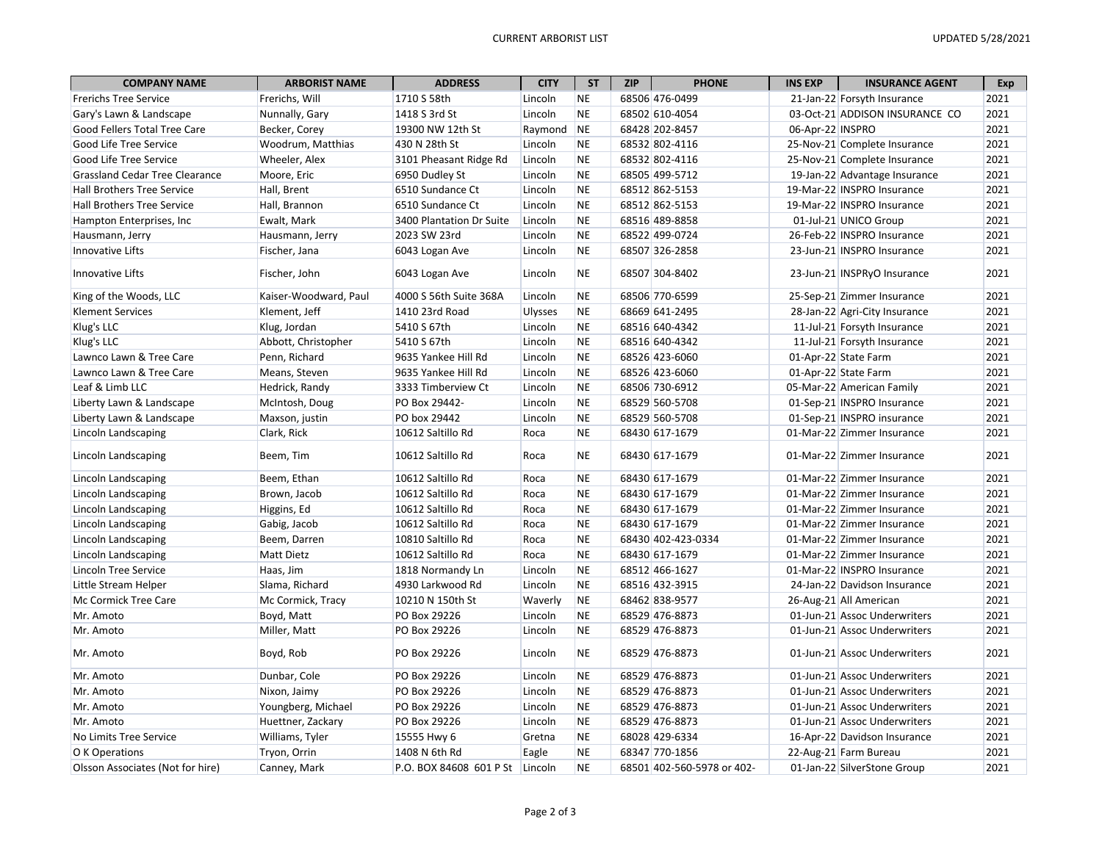| <b>COMPANY NAME</b>                   | <b>ARBORIST NAME</b>  | <b>ADDRESS</b>                  | <b>CITY</b>    | <b>ST</b> | <b>ZIP</b> | <b>PHONE</b>               | <b>INS EXP</b>   | <b>INSURANCE AGENT</b>         | Exp  |
|---------------------------------------|-----------------------|---------------------------------|----------------|-----------|------------|----------------------------|------------------|--------------------------------|------|
| <b>Frerichs Tree Service</b>          | Frerichs, Will        | 1710 S 58th                     | Lincoln        | <b>NE</b> |            | 68506 476-0499             |                  | 21-Jan-22 Forsyth Insurance    | 2021 |
| Gary's Lawn & Landscape               | Nunnally, Gary        | 1418 S 3rd St                   | Lincoln        | <b>NE</b> |            | 68502 610-4054             |                  | 03-Oct-21 ADDISON INSURANCE CO | 2021 |
| Good Fellers Total Tree Care          | Becker, Corey         | 19300 NW 12th St                | Raymond        | <b>NE</b> |            | 68428 202-8457             | 06-Apr-22 INSPRO |                                | 2021 |
| Good Life Tree Service                | Woodrum, Matthias     | 430 N 28th St                   | Lincoln        | <b>NE</b> |            | 68532 802-4116             |                  | 25-Nov-21 Complete Insurance   | 2021 |
| Good Life Tree Service                | Wheeler, Alex         | 3101 Pheasant Ridge Rd          | Lincoln        | <b>NE</b> |            | 68532 802-4116             |                  | 25-Nov-21 Complete Insurance   | 2021 |
| <b>Grassland Cedar Tree Clearance</b> | Moore, Eric           | 6950 Dudley St                  | Lincoln        | <b>NE</b> |            | 68505 499-5712             |                  | 19-Jan-22 Advantage Insurance  | 2021 |
| Hall Brothers Tree Service            | Hall, Brent           | 6510 Sundance Ct                | Lincoln        | <b>NE</b> |            | 68512 862-5153             |                  | 19-Mar-22 INSPRO Insurance     | 2021 |
| Hall Brothers Tree Service            | Hall, Brannon         | 6510 Sundance Ct                | Lincoln        | <b>NE</b> |            | 68512 862-5153             |                  | 19-Mar-22 INSPRO Insurance     | 2021 |
| Hampton Enterprises, Inc.             | Ewalt, Mark           | 3400 Plantation Dr Suite        | Lincoln        | <b>NE</b> |            | 68516 489-8858             |                  | 01-Jul-21 UNICO Group          | 2021 |
| Hausmann, Jerry                       | Hausmann, Jerry       | 2023 SW 23rd                    | Lincoln        | <b>NE</b> |            | 68522 499-0724             |                  | 26-Feb-22 INSPRO Insurance     | 2021 |
| Innovative Lifts                      | Fischer, Jana         | 6043 Logan Ave                  | Lincoln        | <b>NE</b> |            | 68507 326-2858             |                  | 23-Jun-21 INSPRO Insurance     | 2021 |
| <b>Innovative Lifts</b>               | Fischer, John         | 6043 Logan Ave                  | Lincoln        | <b>NE</b> |            | 68507 304-8402             |                  | 23-Jun-21 INSPRyO Insurance    | 2021 |
| King of the Woods, LLC                | Kaiser-Woodward, Paul | 4000 S 56th Suite 368A          | Lincoln        | <b>NE</b> |            | 68506 770-6599             |                  | 25-Sep-21 Zimmer Insurance     | 2021 |
| <b>Klement Services</b>               | Klement, Jeff         | 1410 23rd Road                  | <b>Ulysses</b> | <b>NE</b> |            | 68669 641-2495             |                  | 28-Jan-22 Agri-City Insurance  | 2021 |
| Klug's LLC                            | Klug, Jordan          | 5410 S 67th                     | Lincoln        | <b>NE</b> |            | 68516 640-4342             |                  | 11-Jul-21 Forsyth Insurance    | 2021 |
| Klug's LLC                            | Abbott, Christopher   | 5410 S 67th                     | Lincoln        | <b>NE</b> |            | 68516 640-4342             |                  | 11-Jul-21 Forsyth Insurance    | 2021 |
| Lawnco Lawn & Tree Care               | Penn, Richard         | 9635 Yankee Hill Rd             | Lincoln        | <b>NE</b> |            | 68526 423-6060             |                  | 01-Apr-22 State Farm           | 2021 |
| Lawnco Lawn & Tree Care               | Means, Steven         | 9635 Yankee Hill Rd             | Lincoln        | <b>NE</b> |            | 68526 423-6060             |                  | 01-Apr-22 State Farm           | 2021 |
| Leaf & Limb LLC                       | Hedrick, Randy        | 3333 Timberview Ct              | Lincoln        | <b>NE</b> |            | 68506 730-6912             |                  | 05-Mar-22 American Family      | 2021 |
| Liberty Lawn & Landscape              | McIntosh, Doug        | PO Box 29442-                   | Lincoln        | <b>NE</b> |            | 68529 560-5708             |                  | 01-Sep-21 INSPRO Insurance     | 2021 |
| Liberty Lawn & Landscape              | Maxson, justin        | PO box 29442                    | Lincoln        | <b>NE</b> |            | 68529 560-5708             |                  | 01-Sep-21 INSPRO insurance     | 2021 |
| Lincoln Landscaping                   | Clark, Rick           | 10612 Saltillo Rd               | Roca           | <b>NE</b> |            | 68430 617-1679             |                  | 01-Mar-22 Zimmer Insurance     | 2021 |
| Lincoln Landscaping                   | Beem. Tim             | 10612 Saltillo Rd               | Roca           | <b>NE</b> |            | 68430 617-1679             |                  | 01-Mar-22 Zimmer Insurance     | 2021 |
| Lincoln Landscaping                   | Beem, Ethan           | 10612 Saltillo Rd               | Roca           | <b>NE</b> |            | 68430 617-1679             |                  | 01-Mar-22 Zimmer Insurance     | 2021 |
| Lincoln Landscaping                   | Brown, Jacob          | 10612 Saltillo Rd               | Roca           | <b>NE</b> |            | 68430 617-1679             |                  | 01-Mar-22 Zimmer Insurance     | 2021 |
| Lincoln Landscaping                   | Higgins, Ed           | 10612 Saltillo Rd               | Roca           | <b>NE</b> |            | 68430 617-1679             |                  | 01-Mar-22 Zimmer Insurance     | 2021 |
| Lincoln Landscaping                   | Gabig, Jacob          | 10612 Saltillo Rd               | Roca           | <b>NE</b> |            | 68430 617-1679             |                  | 01-Mar-22 Zimmer Insurance     | 2021 |
| Lincoln Landscaping                   | Beem, Darren          | 10810 Saltillo Rd               | Roca           | <b>NE</b> |            | 68430 402-423-0334         |                  | 01-Mar-22 Zimmer Insurance     | 2021 |
| Lincoln Landscaping                   | <b>Matt Dietz</b>     | 10612 Saltillo Rd               | Roca           | <b>NE</b> |            | 68430 617-1679             |                  | 01-Mar-22 Zimmer Insurance     | 2021 |
| Lincoln Tree Service                  | Haas, Jim             | 1818 Normandy Ln                | Lincoln        | <b>NE</b> |            | 68512 466-1627             |                  | 01-Mar-22 INSPRO Insurance     | 2021 |
| Little Stream Helper                  | Slama, Richard        | 4930 Larkwood Rd                | Lincoln        | <b>NE</b> |            | 68516 432-3915             |                  | 24-Jan-22 Davidson Insurance   | 2021 |
| Mc Cormick Tree Care                  | Mc Cormick, Tracy     | 10210 N 150th St                | Waverly        | <b>NE</b> |            | 68462 838-9577             |                  | 26-Aug-21 All American         | 2021 |
| Mr. Amoto                             | Boyd, Matt            | PO Box 29226                    | Lincoln        | <b>NE</b> |            | 68529 476-8873             |                  | 01-Jun-21 Assoc Underwriters   | 2021 |
| Mr. Amoto                             | Miller, Matt          | PO Box 29226                    | Lincoln        | <b>NE</b> |            | 68529 476-8873             |                  | 01-Jun-21 Assoc Underwriters   | 2021 |
| Mr. Amoto                             | Boyd, Rob             | PO Box 29226                    | Lincoln        | <b>NE</b> |            | 68529 476-8873             |                  | 01-Jun-21 Assoc Underwriters   | 2021 |
| Mr. Amoto                             | Dunbar, Cole          | PO Box 29226                    | Lincoln        | <b>NE</b> |            | 68529 476-8873             |                  | 01-Jun-21 Assoc Underwriters   | 2021 |
| Mr. Amoto                             | Nixon, Jaimy          | PO Box 29226                    | Lincoln        | <b>NE</b> |            | 68529 476-8873             |                  | 01-Jun-21 Assoc Underwriters   | 2021 |
| Mr. Amoto                             | Youngberg, Michael    | PO Box 29226                    | Lincoln        | <b>NE</b> |            | 68529 476-8873             |                  | 01-Jun-21 Assoc Underwriters   | 2021 |
| Mr. Amoto                             | Huettner, Zackary     | PO Box 29226                    | Lincoln        | <b>NE</b> |            | 68529 476-8873             |                  | 01-Jun-21 Assoc Underwriters   | 2021 |
| No Limits Tree Service                | Williams, Tyler       | 15555 Hwy 6                     | Gretna         | <b>NE</b> |            | 68028 429-6334             |                  | 16-Apr-22 Davidson Insurance   | 2021 |
| O K Operations                        | Tryon, Orrin          | 1408 N 6th Rd                   | Eagle          | <b>NE</b> |            | 68347 770-1856             |                  | 22-Aug-21 Farm Bureau          | 2021 |
| Olsson Associates (Not for hire)      | Canney, Mark          | P.O. BOX 84608 601 P St Lincoln |                | <b>NE</b> |            | 68501 402-560-5978 or 402- |                  | 01-Jan-22 SilverStone Group    | 2021 |